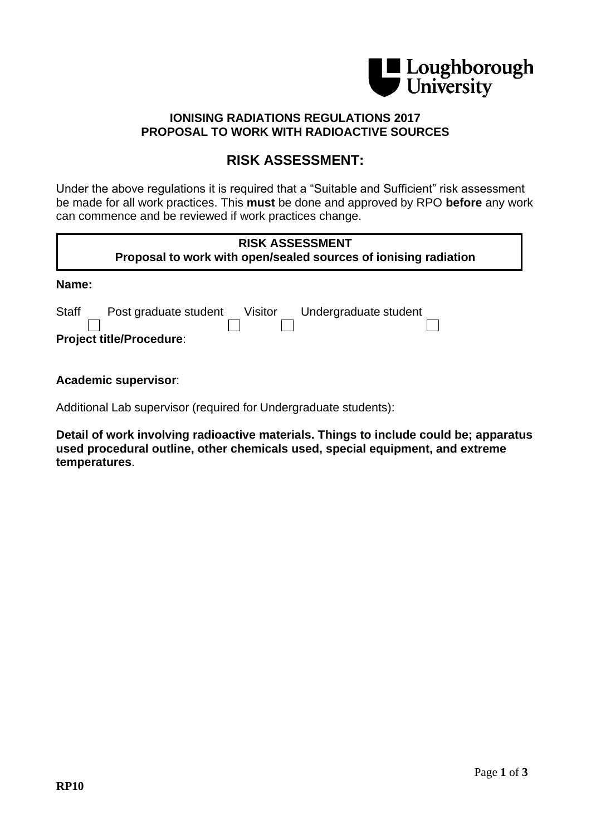

## **IONISING RADIATIONS REGULATIONS 2017 PROPOSAL TO WORK WITH RADIOACTIVE SOURCES**

## **RISK ASSESSMENT:**

Under the above regulations it is required that a "Suitable and Sufficient" risk assessment be made for all work practices. This **must** be done and approved by RPO **before** any work can commence and be reviewed if work practices change.

| <b>RISK ASSESSMENT</b><br>Proposal to work with open/sealed sources of ionising radiation                    |  |
|--------------------------------------------------------------------------------------------------------------|--|
| Name:                                                                                                        |  |
| <b>Staff</b><br>Undergraduate student<br>Post graduate student<br>Visitor<br><b>Project title/Procedure:</b> |  |

**Academic supervisor**:

Additional Lab supervisor (required for Undergraduate students):

**Detail of work involving radioactive materials. Things to include could be; apparatus used procedural outline, other chemicals used, special equipment, and extreme temperatures**.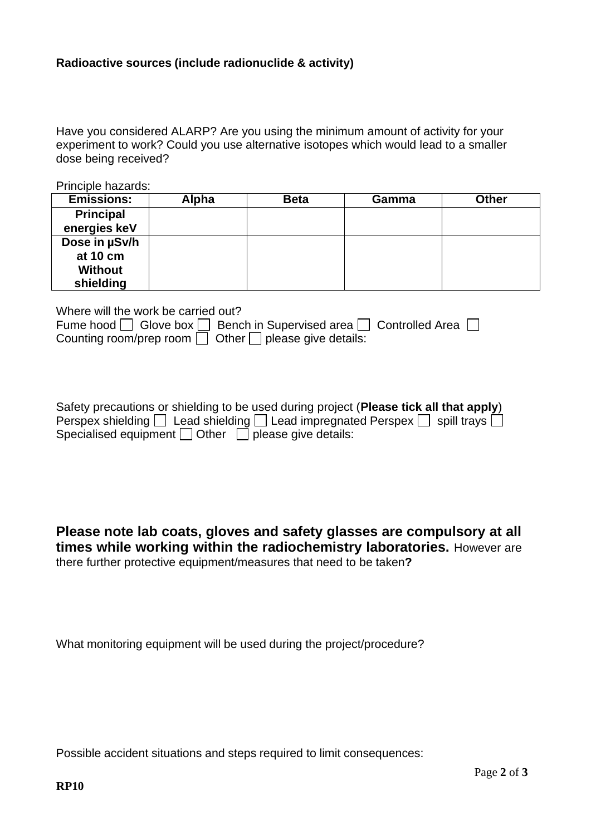## **Radioactive sources (include radionuclide & activity)**

Have you considered ALARP? Are you using the minimum amount of activity for your experiment to work? Could you use alternative isotopes which would lead to a smaller dose being received?

Principle hazards:

| <b>Emissions:</b> | Alpha | <b>Beta</b> | Gamma | <b>Other</b> |
|-------------------|-------|-------------|-------|--------------|
| <b>Principal</b>  |       |             |       |              |
| energies keV      |       |             |       |              |
| Dose in µSv/h     |       |             |       |              |
| at 10 cm          |       |             |       |              |
| <b>Without</b>    |       |             |       |              |
| shielding         |       |             |       |              |

| Where will the work be carried out?                                                      |
|------------------------------------------------------------------------------------------|
| Fume hood $\Box$ Glove box $\Box$ Bench in Supervised area $\Box$ Controlled Area $\Box$ |
| Counting room/prep room $\Box$ Other $\Box$ please give details:                         |

| Safety precautions or shielding to be used during project (Please tick all that apply)            |
|---------------------------------------------------------------------------------------------------|
| Perspex shielding $\Box$ Lead shielding $\Box$ Lead impregnated Perspex $\Box$ spill trays $\Box$ |
| Specialised equipment $\Box$ Other $\Box$ please give details:                                    |

**Please note lab coats, gloves and safety glasses are compulsory at all times while working within the radiochemistry laboratories.** However are there further protective equipment/measures that need to be taken**?**

What monitoring equipment will be used during the project/procedure?

Possible accident situations and steps required to limit consequences: